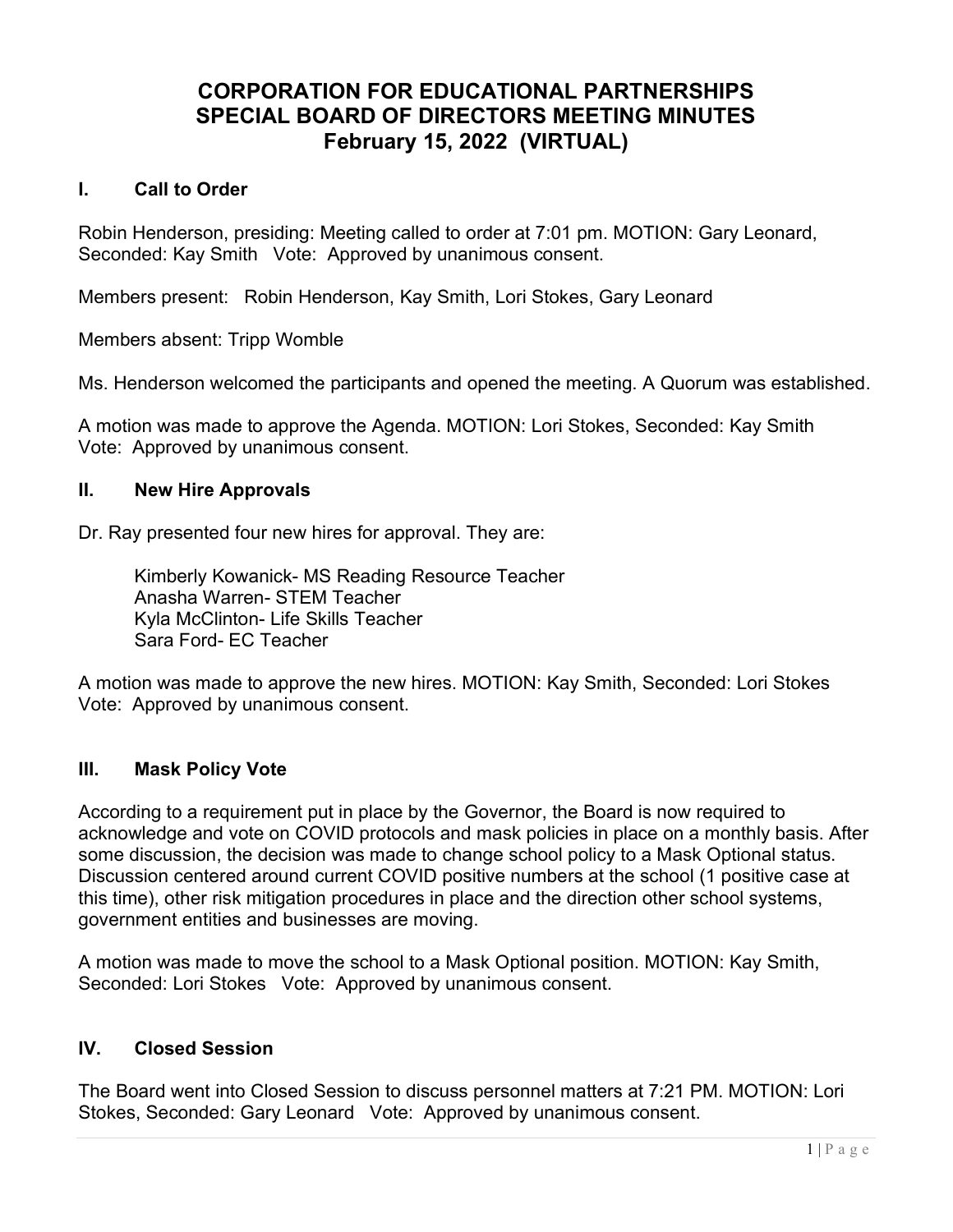# CORPORATION FOR EDUCATIONAL PARTNERSHIPS SPECIAL BOARD OF DIRECTORS MEETING MINUTES February 15, 2022 (VIRTUAL)

### I. Call to Order

Robin Henderson, presiding: Meeting called to order at 7:01 pm. MOTION: Gary Leonard, Seconded: Kay Smith Vote: Approved by unanimous consent.

Members present: Robin Henderson, Kay Smith, Lori Stokes, Gary Leonard

Members absent: Tripp Womble

Ms. Henderson welcomed the participants and opened the meeting. A Quorum was established.

A motion was made to approve the Agenda. MOTION: Lori Stokes, Seconded: Kay Smith Vote: Approved by unanimous consent.

#### II. New Hire Approvals

Dr. Ray presented four new hires for approval. They are:

Kimberly Kowanick- MS Reading Resource Teacher Anasha Warren- STEM Teacher Kyla McClinton- Life Skills Teacher Sara Ford- EC Teacher

A motion was made to approve the new hires. MOTION: Kay Smith, Seconded: Lori Stokes Vote: Approved by unanimous consent.

### III. Mask Policy Vote

According to a requirement put in place by the Governor, the Board is now required to acknowledge and vote on COVID protocols and mask policies in place on a monthly basis. After some discussion, the decision was made to change school policy to a Mask Optional status. Discussion centered around current COVID positive numbers at the school (1 positive case at this time), other risk mitigation procedures in place and the direction other school systems, government entities and businesses are moving.

A motion was made to move the school to a Mask Optional position. MOTION: Kay Smith, Seconded: Lori Stokes Vote: Approved by unanimous consent.

### IV. Closed Session

The Board went into Closed Session to discuss personnel matters at 7:21 PM. MOTION: Lori Stokes, Seconded: Gary Leonard Vote: Approved by unanimous consent.